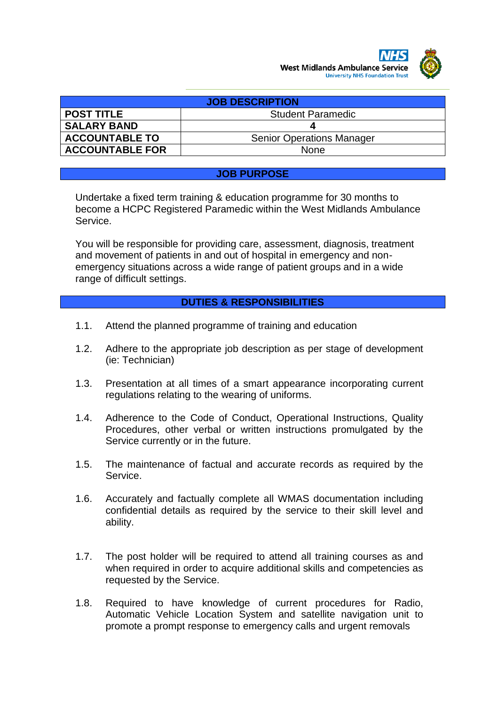

| <b>JOB DESCRIPTION</b> |                                  |  |  |
|------------------------|----------------------------------|--|--|
| <b>POST TITLE</b>      | <b>Student Paramedic</b>         |  |  |
| <b>SALARY BAND</b>     |                                  |  |  |
| <b>ACCOUNTABLE TO</b>  | <b>Senior Operations Manager</b> |  |  |
| <b>ACCOUNTABLE FOR</b> | <b>None</b>                      |  |  |

#### **JOB PURPOSE**

Undertake a fixed term training & education programme for 30 months to become a HCPC Registered Paramedic within the West Midlands Ambulance Service.

You will be responsible for providing care, assessment, diagnosis, treatment and movement of patients in and out of hospital in emergency and nonemergency situations across a wide range of patient groups and in a wide range of difficult settings.

## **DUTIES & RESPONSIBILITIES**

- 1.1. Attend the planned programme of training and education
- 1.2. Adhere to the appropriate job description as per stage of development (ie: Technician)
- 1.3. Presentation at all times of a smart appearance incorporating current regulations relating to the wearing of uniforms.
- 1.4. Adherence to the Code of Conduct, Operational Instructions, Quality Procedures, other verbal or written instructions promulgated by the Service currently or in the future.
- 1.5. The maintenance of factual and accurate records as required by the Service.
- 1.6. Accurately and factually complete all WMAS documentation including confidential details as required by the service to their skill level and ability.
- 1.7. The post holder will be required to attend all training courses as and when required in order to acquire additional skills and competencies as requested by the Service.
- 1.8. Required to have knowledge of current procedures for Radio, Automatic Vehicle Location System and satellite navigation unit to promote a prompt response to emergency calls and urgent removals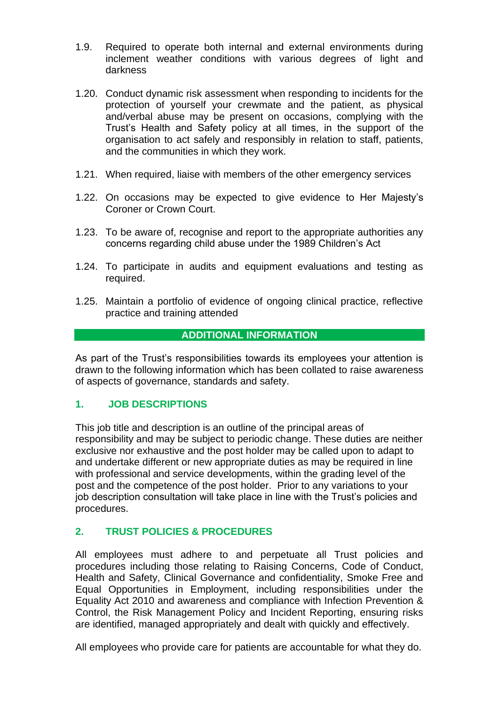- 1.9. Required to operate both internal and external environments during inclement weather conditions with various degrees of light and darkness
- 1.20. Conduct dynamic risk assessment when responding to incidents for the protection of yourself your crewmate and the patient, as physical and/verbal abuse may be present on occasions, complying with the Trust's Health and Safety policy at all times, in the support of the organisation to act safely and responsibly in relation to staff, patients, and the communities in which they work.
- 1.21. When required, liaise with members of the other emergency services
- 1.22. On occasions may be expected to give evidence to Her Majesty's Coroner or Crown Court.
- 1.23. To be aware of, recognise and report to the appropriate authorities any concerns regarding child abuse under the 1989 Children's Act
- 1.24. To participate in audits and equipment evaluations and testing as required.
- 1.25. Maintain a portfolio of evidence of ongoing clinical practice, reflective practice and training attended

## **ADDITIONAL INFORMATION**

As part of the Trust's responsibilities towards its employees your attention is drawn to the following information which has been collated to raise awareness of aspects of governance, standards and safety.

## **1. JOB DESCRIPTIONS**

This job title and description is an outline of the principal areas of responsibility and may be subject to periodic change. These duties are neither exclusive nor exhaustive and the post holder may be called upon to adapt to and undertake different or new appropriate duties as may be required in line with professional and service developments, within the grading level of the post and the competence of the post holder. Prior to any variations to your job description consultation will take place in line with the Trust's policies and procedures.

## **2. TRUST POLICIES & PROCEDURES**

All employees must adhere to and perpetuate all Trust policies and procedures including those relating to Raising Concerns, Code of Conduct, Health and Safety, Clinical Governance and confidentiality, Smoke Free and Equal Opportunities in Employment, including responsibilities under the Equality Act 2010 and awareness and compliance with Infection Prevention & Control, the Risk Management Policy and Incident Reporting, ensuring risks are identified, managed appropriately and dealt with quickly and effectively.

All employees who provide care for patients are accountable for what they do.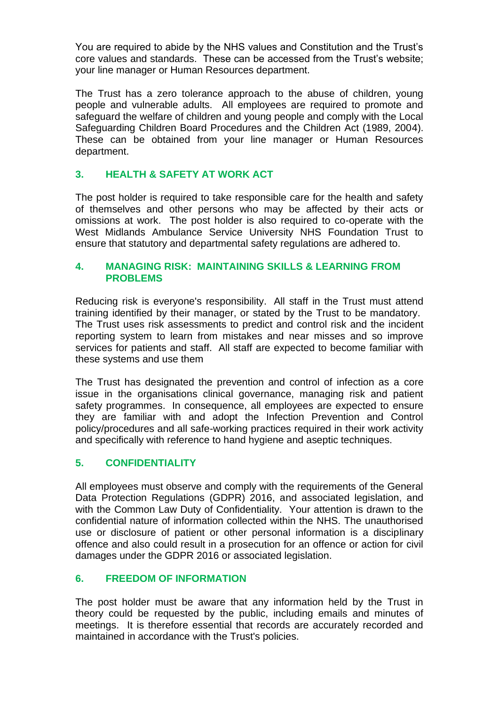You are required to abide by the NHS values and Constitution and the Trust's core values and standards. These can be accessed from the Trust's website; your line manager or Human Resources department.

The Trust has a zero tolerance approach to the abuse of children, young people and vulnerable adults. All employees are required to promote and safeguard the welfare of children and young people and comply with the Local Safeguarding Children Board Procedures and the Children Act (1989, 2004). These can be obtained from your line manager or Human Resources department.

# **3. HEALTH & SAFETY AT WORK ACT**

The post holder is required to take responsible care for the health and safety of themselves and other persons who may be affected by their acts or omissions at work. The post holder is also required to co-operate with the West Midlands Ambulance Service University NHS Foundation Trust to ensure that statutory and departmental safety regulations are adhered to.

#### **4. MANAGING RISK: MAINTAINING SKILLS & LEARNING FROM PROBLEMS**

Reducing risk is everyone's responsibility. All staff in the Trust must attend training identified by their manager, or stated by the Trust to be mandatory. The Trust uses risk assessments to predict and control risk and the incident reporting system to learn from mistakes and near misses and so improve services for patients and staff. All staff are expected to become familiar with these systems and use them

The Trust has designated the prevention and control of infection as a core issue in the organisations clinical governance, managing risk and patient safety programmes. In consequence, all employees are expected to ensure they are familiar with and adopt the Infection Prevention and Control policy/procedures and all safe-working practices required in their work activity and specifically with reference to hand hygiene and aseptic techniques.

# **5. CONFIDENTIALITY**

All employees must observe and comply with the requirements of the General Data Protection Regulations (GDPR) 2016, and associated legislation, and with the Common Law Duty of Confidentiality. Your attention is drawn to the confidential nature of information collected within the NHS. The unauthorised use or disclosure of patient or other personal information is a disciplinary offence and also could result in a prosecution for an offence or action for civil damages under the GDPR 2016 or associated legislation.

## **6. FREEDOM OF INFORMATION**

The post holder must be aware that any information held by the Trust in theory could be requested by the public, including emails and minutes of meetings. It is therefore essential that records are accurately recorded and maintained in accordance with the Trust's policies.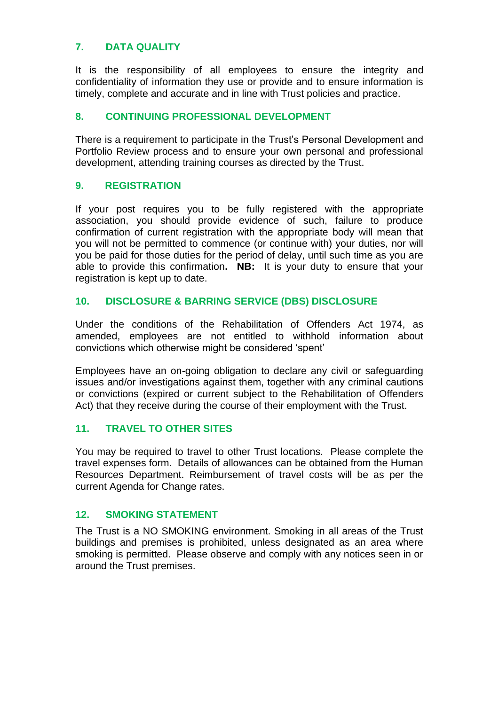# **7. DATA QUALITY**

It is the responsibility of all employees to ensure the integrity and confidentiality of information they use or provide and to ensure information is timely, complete and accurate and in line with Trust policies and practice.

# **8. CONTINUING PROFESSIONAL DEVELOPMENT**

There is a requirement to participate in the Trust's Personal Development and Portfolio Review process and to ensure your own personal and professional development, attending training courses as directed by the Trust.

## **9. REGISTRATION**

If your post requires you to be fully registered with the appropriate association, you should provide evidence of such, failure to produce confirmation of current registration with the appropriate body will mean that you will not be permitted to commence (or continue with) your duties, nor will you be paid for those duties for the period of delay, until such time as you are able to provide this confirmation**. NB:** It is your duty to ensure that your registration is kept up to date.

## **10. DISCLOSURE & BARRING SERVICE (DBS) DISCLOSURE**

Under the conditions of the Rehabilitation of Offenders Act 1974, as amended, employees are not entitled to withhold information about convictions which otherwise might be considered 'spent'

Employees have an on-going obligation to declare any civil or safeguarding issues and/or investigations against them, together with any criminal cautions or convictions (expired or current subject to the Rehabilitation of Offenders Act) that they receive during the course of their employment with the Trust.

## **11. TRAVEL TO OTHER SITES**

You may be required to travel to other Trust locations. Please complete the travel expenses form. Details of allowances can be obtained from the Human Resources Department. Reimbursement of travel costs will be as per the current Agenda for Change rates.

## **12. SMOKING STATEMENT**

The Trust is a NO SMOKING environment. Smoking in all areas of the Trust buildings and premises is prohibited, unless designated as an area where smoking is permitted. Please observe and comply with any notices seen in or around the Trust premises.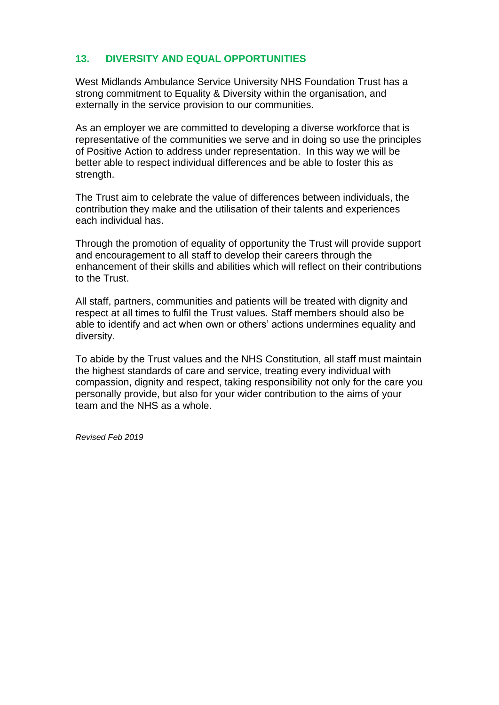# **13. DIVERSITY AND EQUAL OPPORTUNITIES**

West Midlands Ambulance Service University NHS Foundation Trust has a strong commitment to Equality & Diversity within the organisation, and externally in the service provision to our communities.

As an employer we are committed to developing a diverse workforce that is representative of the communities we serve and in doing so use the principles of Positive Action to address under representation. In this way we will be better able to respect individual differences and be able to foster this as strength.

The Trust aim to celebrate the value of differences between individuals, the contribution they make and the utilisation of their talents and experiences each individual has.

Through the promotion of equality of opportunity the Trust will provide support and encouragement to all staff to develop their careers through the enhancement of their skills and abilities which will reflect on their contributions to the Trust.

All staff, partners, communities and patients will be treated with dignity and respect at all times to fulfil the Trust values. Staff members should also be able to identify and act when own or others' actions undermines equality and diversity.

To abide by the Trust values and the NHS Constitution, all staff must maintain the highest standards of care and service, treating every individual with compassion, dignity and respect, taking responsibility not only for the care you personally provide, but also for your wider contribution to the aims of your team and the NHS as a whole.

*Revised Feb 2019*